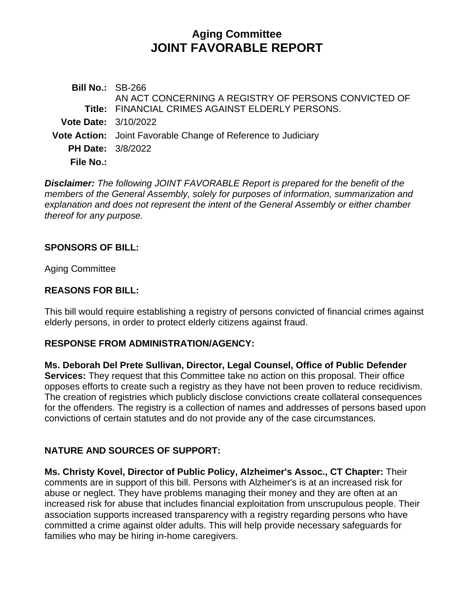# **Aging Committee JOINT FAVORABLE REPORT**

| <b>Bill No.: SB-266</b>     |                                                               |
|-----------------------------|---------------------------------------------------------------|
|                             | AN ACT CONCERNING A REGISTRY OF PERSONS CONVICTED OF          |
|                             | Title: FINANCIAL CRIMES AGAINST ELDERLY PERSONS.              |
| <b>Vote Date: 3/10/2022</b> |                                                               |
|                             | Vote Action: Joint Favorable Change of Reference to Judiciary |
| <b>PH Date: 3/8/2022</b>    |                                                               |
| File No.:                   |                                                               |
|                             |                                                               |

*Disclaimer: The following JOINT FAVORABLE Report is prepared for the benefit of the members of the General Assembly, solely for purposes of information, summarization and explanation and does not represent the intent of the General Assembly or either chamber thereof for any purpose.*

### **SPONSORS OF BILL:**

Aging Committee

### **REASONS FOR BILL:**

This bill would require establishing a registry of persons convicted of financial crimes against elderly persons, in order to protect elderly citizens against fraud.

### **RESPONSE FROM ADMINISTRATION/AGENCY:**

**Ms. Deborah Del Prete Sullivan, Director, Legal Counsel, Office of Public Defender Services:** They request that this Committee take no action on this proposal. Their office opposes efforts to create such a registry as they have not been proven to reduce recidivism. The creation of registries which publicly disclose convictions create collateral consequences for the offenders. The registry is a collection of names and addresses of persons based upon convictions of certain statutes and do not provide any of the case circumstances.

# **NATURE AND SOURCES OF SUPPORT:**

**Ms. Christy Kovel, Director of Public Policy, Alzheimer's Assoc., CT Chapter:** Their comments are in support of this bill. Persons with Alzheimer's is at an increased risk for abuse or neglect. They have problems managing their money and they are often at an increased risk for abuse that includes financial exploitation from unscrupulous people. Their association supports increased transparency with a registry regarding persons who have committed a crime against older adults. This will help provide necessary safeguards for families who may be hiring in-home caregivers.